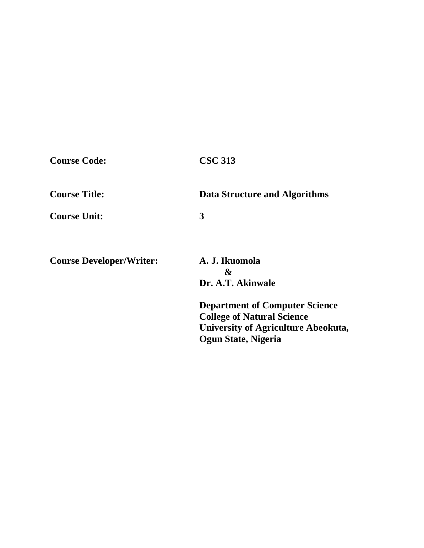| <b>Course Code:</b>             | <b>CSC 313</b>                                                                                                                           |
|---------------------------------|------------------------------------------------------------------------------------------------------------------------------------------|
| <b>Course Title:</b>            | Data Structure and Algorithms                                                                                                            |
| <b>Course Unit:</b>             | 3                                                                                                                                        |
| <b>Course Developer/Writer:</b> | A. J. Ikuomola<br>&<br>Dr. A.T. Akinwale                                                                                                 |
|                                 | <b>Department of Computer Science</b><br><b>College of Natural Science</b><br>University of Agriculture Abeokuta,<br>Ogun State, Nigeria |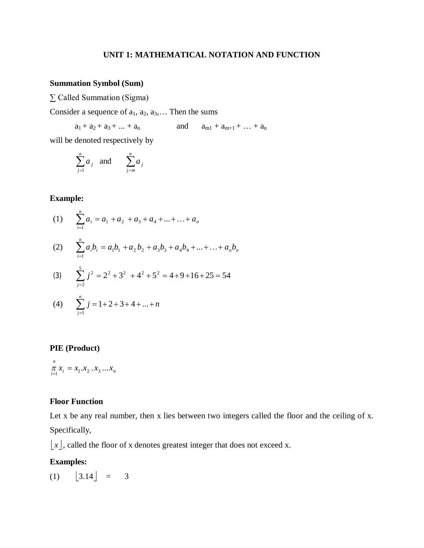## **UNIT 1: MATHEMATICAL NOTATION AND FUNCTION**

# **Summation Symbol (Sum)**

∑ Called Summation (Sigma)

Consider a sequence of  $a_1, a_2, a_3, \ldots$  Then the sums

 $a_1 + a_2 + a_3 + ... + a_n$  and  $a_{m1} + a_{m+1} + ... + a_n$ 

will be denoted respectively by

$$
\sum_{j=1}^{n} a_j
$$
 and 
$$
\sum_{j=m}^{n} a_j
$$

## **Example:**

(1) 
$$
\sum_{i=1}^{n} a_i = a_1 + a_2 + a_3 + a_4 + \dots + a_n
$$

(2) 
$$
\sum_{i=1}^{n} a_i b_i = a_1 b_1 + a_2 b_2 + a_3 b_3 + a_4 b_4 + \dots + \dots + a_n b_n
$$

(3) 
$$
\sum_{j=2}^{5} j^2 = 2^2 + 3^2 + 4^2 + 5^2 = 4 + 9 + 16 + 25 = 54
$$

(4) 
$$
\sum_{j=1}^{n} j = 1 + 2 + 3 + 4 + \dots + n
$$

## **PIE (Product)**

 $\mu_i = \lambda_1 \cdot \lambda_2 \cdot \lambda_3 \cdot \ldots \lambda_n$ *n*  $\pi_{\overline{i}} x_i = x_1 \cdot x_2 \cdot x_3 \cdot \ldots \cdot x_n$ 

## **Floor Function**

Let x be any real number, then x lies between two integers called the floor and the ceiling of x. Specifically,

 $|x|$ , called the floor of x denotes greatest integer that does not exceed x.

# **Examples:**

 $(1)$   $|3.14| = 3$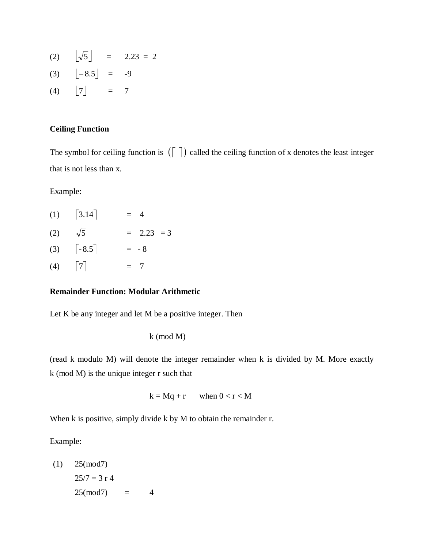- (2)  $\left[\sqrt{5}\right] = 2.23 = 2$
- (3)  $[-8.5] = -9$
- (4)  $\begin{bmatrix} 7 \end{bmatrix}$  = 7

# **Ceiling Function**

The symbol for ceiling function is  $(\lceil \rceil)$  called the ceiling function of x denotes the least integer that is not less than x.

Example:

|     | $(1)$ [3.14]                                    | $= 4$        |
|-----|-------------------------------------------------|--------------|
| (2) | $\sqrt{5}$                                      | $= 2.23 = 3$ |
|     | $(3) \qquad \begin{bmatrix} -8.5 \end{bmatrix}$ | $= -8$       |
|     | $(4)$   7                                       | $= 7$        |

## **Remainder Function: Modular Arithmetic**

Let K be any integer and let M be a positive integer. Then

k (mod M)

(read k modulo M) will denote the integer remainder when k is divided by M. More exactly k (mod M) is the unique integer r such that

$$
k = Mq + r \qquad \text{when } 0 < r < M
$$

When k is positive, simply divide k by M to obtain the remainder r.

Example:

 $(1)$  25(mod7)  $25/7 = 3$  r 4  $25 \pmod{7} = 4$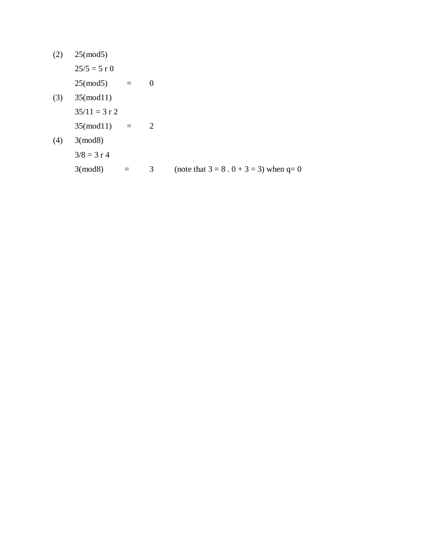(2) 25(mod5)

 $25/5 = 5$  r 0

 $25 \text{(mod 5)} = 0$ 

(3) 35(mod11)  $35/11 = 3 r 2$  $35 \pmod{11} = 2$ (4) 3(mod8)  $3/8 = 3 r 4$ 3(mod8) = 3 (note that  $3 = 8 \cdot 0 + 3 = 3$ ) when q= 0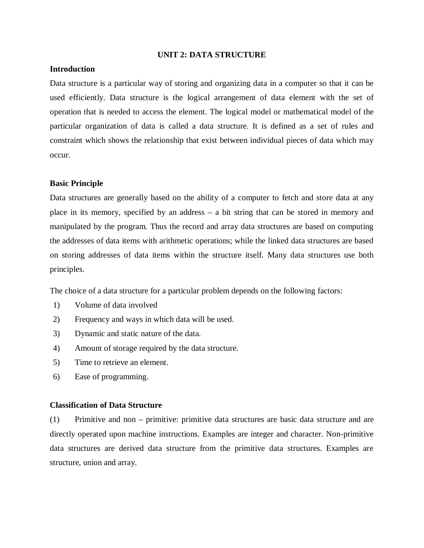### **UNIT 2: DATA STRUCTURE**

## **Introduction**

Data structure is a particular way of storing and organizing data in a computer so that it can be used efficiently. Data structure is the logical arrangement of data element with the set of operation that is needed to access the element. The logical model or mathematical model of the particular organization of data is called a data structure. It is defined as a set of rules and constraint which shows the relationship that exist between individual pieces of data which may occur.

### **Basic Principle**

Data structures are generally based on the ability of a computer to fetch and store data at any place in its memory, specified by an address – a bit string that can be stored in memory and manipulated by the program. Thus the record and array data structures are based on computing the addresses of data items with arithmetic operations; while the linked data structures are based on storing addresses of data items within the structure itself. Many data structures use both principles.

The choice of a data structure for a particular problem depends on the following factors:

- 1) Volume of data involved
- 2) Frequency and ways in which data will be used.
- 3) Dynamic and static nature of the data.
- 4) Amount of storage required by the data structure.
- 5) Time to retrieve an element.
- 6) Ease of programming.

### **Classification of Data Structure**

(1) Primitive and non – primitive: primitive data structures are basic data structure and are directly operated upon machine instructions. Examples are integer and character. Non-primitive data structures are derived data structure from the primitive data structures. Examples are structure, union and array.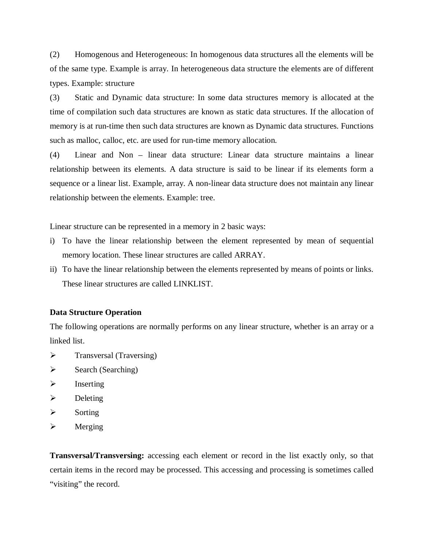(2) Homogenous and Heterogeneous: In homogenous data structures all the elements will be of the same type. Example is array. In heterogeneous data structure the elements are of different types. Example: structure

(3) Static and Dynamic data structure: In some data structures memory is allocated at the time of compilation such data structures are known as static data structures. If the allocation of memory is at run-time then such data structures are known as Dynamic data structures. Functions such as malloc, calloc, etc. are used for run-time memory allocation.

(4) Linear and Non – linear data structure: Linear data structure maintains a linear relationship between its elements. A data structure is said to be linear if its elements form a sequence or a linear list. Example, array. A non-linear data structure does not maintain any linear relationship between the elements. Example: tree.

Linear structure can be represented in a memory in 2 basic ways:

- i) To have the linear relationship between the element represented by mean of sequential memory location. These linear structures are called ARRAY.
- ii) To have the linear relationship between the elements represented by means of points or links. These linear structures are called LINKLIST.

#### **Data Structure Operation**

The following operations are normally performs on any linear structure, whether is an array or a linked list.

- $\triangleright$  Transversal (Traversing)
- $\triangleright$  Search (Searching)
- $\triangleright$  Inserting
- $\triangleright$  Deleting
- $\triangleright$  Sorting
- $\triangleright$  Merging

**Transversal/Transversing:** accessing each element or record in the list exactly only, so that certain items in the record may be processed. This accessing and processing is sometimes called "visiting" the record.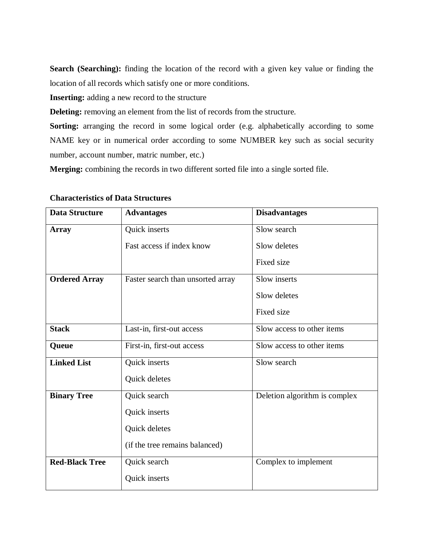Search (Searching): finding the location of the record with a given key value or finding the location of all records which satisfy one or more conditions.

**Inserting:** adding a new record to the structure

**Deleting:** removing an element from the list of records from the structure.

**Sorting:** arranging the record in some logical order (e.g. alphabetically according to some NAME key or in numerical order according to some NUMBER key such as social security number, account number, matric number, etc.)

**Merging:** combining the records in two different sorted file into a single sorted file.

| <b>Data Structure</b> | <b>Advantages</b>                 | <b>Disadvantages</b>          |  |
|-----------------------|-----------------------------------|-------------------------------|--|
| <b>Array</b>          | Quick inserts                     | Slow search                   |  |
|                       | Fast access if index know         | Slow deletes                  |  |
|                       |                                   | Fixed size                    |  |
| <b>Ordered Array</b>  | Faster search than unsorted array | Slow inserts                  |  |
|                       |                                   | Slow deletes                  |  |
|                       |                                   | Fixed size                    |  |
| <b>Stack</b>          | Last-in, first-out access         | Slow access to other items    |  |
| Queue                 | First-in, first-out access        | Slow access to other items    |  |
| <b>Linked List</b>    | Quick inserts                     | Slow search                   |  |
|                       | Quick deletes                     |                               |  |
| <b>Binary Tree</b>    | Quick search                      | Deletion algorithm is complex |  |
|                       | Quick inserts                     |                               |  |
|                       | Quick deletes                     |                               |  |
|                       | (if the tree remains balanced)    |                               |  |
| <b>Red-Black Tree</b> | Quick search                      | Complex to implement          |  |
|                       | Quick inserts                     |                               |  |

## **Characteristics of Data Structures**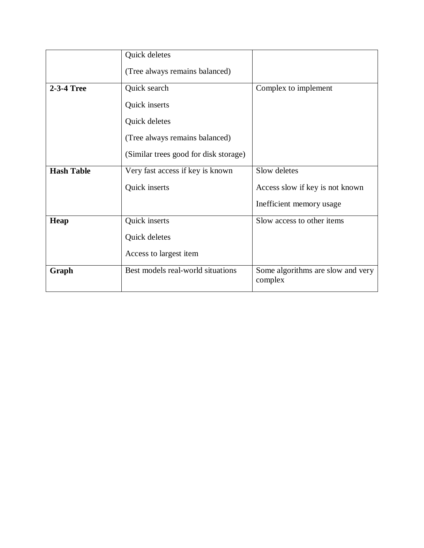|                   | Quick deletes                         |                                              |
|-------------------|---------------------------------------|----------------------------------------------|
|                   | (Tree always remains balanced)        |                                              |
| 2-3-4 Tree        | Quick search                          | Complex to implement                         |
|                   | Quick inserts                         |                                              |
|                   | Quick deletes                         |                                              |
|                   | (Tree always remains balanced)        |                                              |
|                   | (Similar trees good for disk storage) |                                              |
| <b>Hash Table</b> | Very fast access if key is known      | Slow deletes                                 |
|                   | Quick inserts                         | Access slow if key is not known              |
|                   |                                       | Inefficient memory usage                     |
| Heap              | Quick inserts                         | Slow access to other items                   |
|                   | Quick deletes                         |                                              |
|                   | Access to largest item                |                                              |
| Graph             | Best models real-world situations     | Some algorithms are slow and very<br>complex |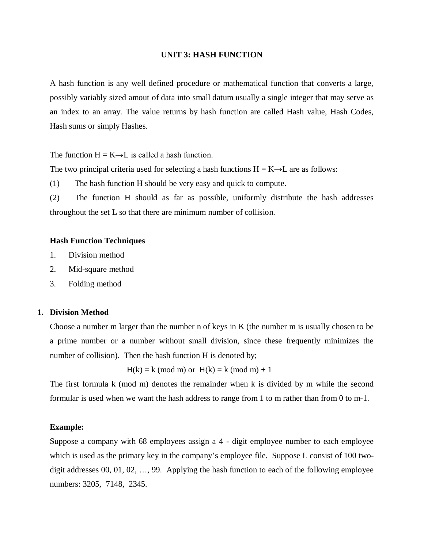### **UNIT 3: HASH FUNCTION**

A hash function is any well defined procedure or mathematical function that converts a large, possibly variably sized amout of data into small datum usually a single integer that may serve as an index to an array. The value returns by hash function are called Hash value, Hash Codes, Hash sums or simply Hashes.

The function  $H = K \rightarrow L$  is called a hash function.

The two principal criteria used for selecting a hash functions  $H = K \rightarrow L$  are as follows:

(1) The hash function H should be very easy and quick to compute.

(2) The function H should as far as possible, uniformly distribute the hash addresses throughout the set L so that there are minimum number of collision.

## **Hash Function Techniques**

- 1. Division method
- 2. Mid-square method
- 3. Folding method

### **1. Division Method**

Choose a number m larger than the number n of keys in K (the number m is usually chosen to be a prime number or a number without small division, since these frequently minimizes the number of collision). Then the hash function H is denoted by;

 $H(k) = k \pmod{m}$  or  $H(k) = k \pmod{m} + 1$ 

The first formula k (mod m) denotes the remainder when k is divided by m while the second formular is used when we want the hash address to range from 1 to m rather than from 0 to m-1.

## **Example:**

Suppose a company with 68 employees assign a 4 - digit employee number to each employee which is used as the primary key in the company's employee file. Suppose L consist of 100 twodigit addresses 00, 01, 02, …, 99. Applying the hash function to each of the following employee numbers: 3205, 7148, 2345.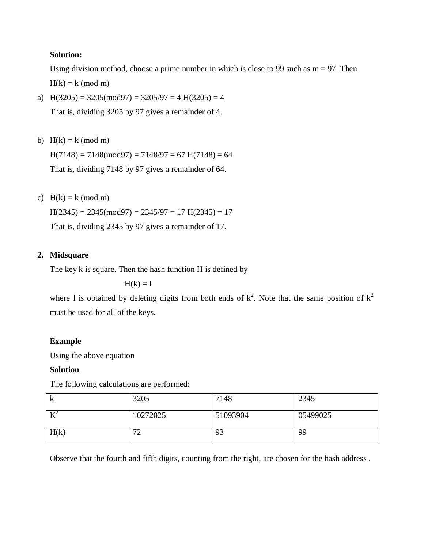## **Solution:**

Using division method, choose a prime number in which is close to 99 such as  $m = 97$ . Then  $H(k) = k \pmod{m}$ 

a)  $H(3205) = 3205 \pmod{97} = 3205/97 = 4 H(3205) = 4$ 

That is, dividing 3205 by 97 gives a remainder of 4.

b)  $H(k) = k \pmod{m}$ 

 $H(7148) = 7148 \text{(mod } 97) = 7148/97 = 67 \text{ H}(7148) = 64$ That is, dividing 7148 by 97 gives a remainder of 64.

c)  $H(k) = k \pmod{m}$ 

 $H(2345) = 2345 \pmod{97} = 2345/97 = 17$   $H(2345) = 17$ 

That is, dividing 2345 by 97 gives a remainder of 17.

# **2. Midsquare**

The key k is square. Then the hash function H is defined by

 $H(k) = 1$ 

where 1 is obtained by deleting digits from both ends of  $k^2$ . Note that the same position of  $k^2$ must be used for all of the keys.

# **Example**

Using the above equation

# **Solution**

The following calculations are performed:

| $\bf k$ | 3205     | 7148     | 2345     |
|---------|----------|----------|----------|
| $K^2$   | 10272025 | 51093904 | 05499025 |
| H(k)    | 72<br>∠  | 93       | 99       |

Observe that the fourth and fifth digits, counting from the right, are chosen for the hash address .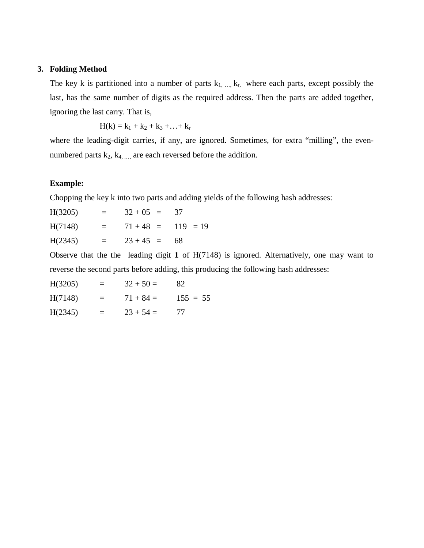## **3. Folding Method**

The key k is partitioned into a number of parts  $k_1, ..., k_r$ , where each parts, except possibly the last, has the same number of digits as the required address. Then the parts are added together, ignoring the last carry. That is,

$$
H(k) = k_1 + k_2 + k_3 + \ldots + k_r
$$

where the leading-digit carries, if any, are ignored. Sometimes, for extra "milling", the evennumbered parts  $k_2$ ,  $k_4$ , ..., are each reversed before the addition.

## **Example:**

Chopping the key k into two parts and adding yields of the following hash addresses:

| H(3205) | $\equiv$          | $32 + 05 = 37$       |  |
|---------|-------------------|----------------------|--|
| H(7148) | $\equiv$ $\equiv$ | $71 + 48 = 119 = 19$ |  |
| H(2345) | $=$               | $23 + 45 = 68$       |  |

Observe that the the leading digit **1** of H(7148) is ignored. Alternatively, one may want to reverse the second parts before adding, this producing the following hash addresses:

| H(3205)<br>$32 + 50 =$<br>82 |  |
|------------------------------|--|
|------------------------------|--|

 $H(7148) = 71 + 84 = 155 = 55$ 

 $H(2345) = 23 + 54 = 77$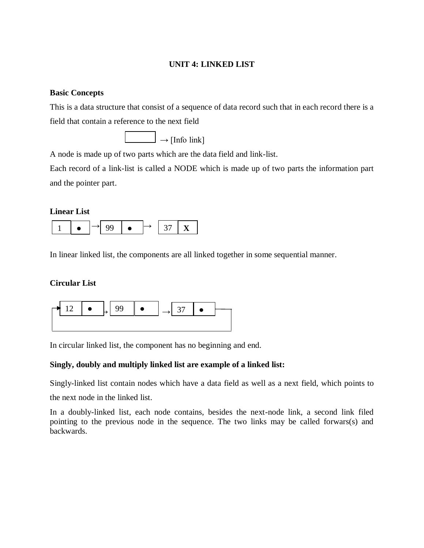## **UNIT 4: LINKED LIST**

## **Basic Concepts**

This is a data structure that consist of a sequence of data record such that in each record there is a field that contain a reference to the next field

 $\Box \rightarrow$  [Info link]

A node is made up of two parts which are the data field and link-list.

Each record of a link-list is called a NODE which is made up of two parts the information part and the pointer part.

## **Linear List**



In linear linked list, the components are all linked together in some sequential manner.

## **Circular List**



In circular linked list, the component has no beginning and end.

# **Singly, doubly and multiply linked list are example of a linked list:**

Singly-linked list contain nodes which have a data field as well as a next field, which points to

the next node in the linked list.

In a doubly-linked list, each node contains, besides the next-node link, a second link filed pointing to the previous node in the sequence. The two links may be called forwars(s) and backwards.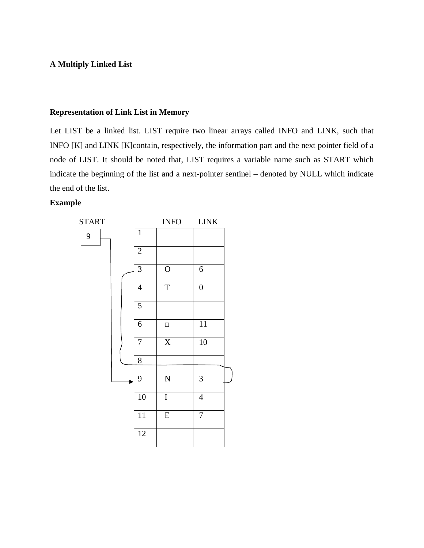## **A Multiply Linked List**

## **Representation of Link List in Memory**

Let LIST be a linked list. LIST require two linear arrays called INFO and LINK, such that INFO [K] and LINK [K]contain, respectively, the information part and the next pointer field of a node of LIST. It should be noted that, LIST requires a variable name such as START which indicate the beginning of the list and a next-pointer sentinel – denoted by NULL which indicate the end of the list.

## **Example**

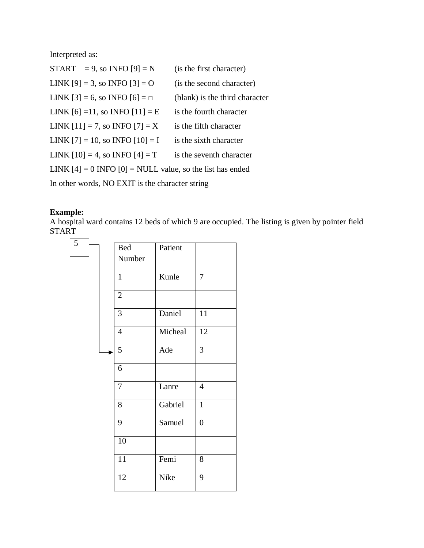Interpreted as:

| START = 9, so INFO [9] = N                                    | (is the first character)       |  |  |  |
|---------------------------------------------------------------|--------------------------------|--|--|--|
| LINK $[9] = 3$ , so INFO $[3] = 0$                            | (is the second character)      |  |  |  |
| LINK [3] = 6, so INFO [6] = $\Box$                            | (blank) is the third character |  |  |  |
| LINK [6] = 11, so INFO [11] = E                               | is the fourth character        |  |  |  |
| LINK $[11] = 7$ , so INFO $[7] = X$                           | is the fifth character         |  |  |  |
| LINK $[7] = 10$ , so INFO $[10] = I$                          | is the sixth character         |  |  |  |
| LINK $[10] = 4$ , so INFO $[4] = T$                           | is the seventh character       |  |  |  |
| LINK $[4] = 0$ INFO $[0] =$ NULL value, so the list has ended |                                |  |  |  |
| In other words, NO EXIT is the character string               |                                |  |  |  |

# **Example:**

A hospital ward contains 12 beds of which 9 are occupied. The listing is given by pointer field **START** 

| 5 |  |                 |         |                  |
|---|--|-----------------|---------|------------------|
|   |  | <b>Bed</b>      | Patient |                  |
|   |  | Number          |         |                  |
|   |  |                 |         |                  |
|   |  | $\mathbf{1}$    | Kunle   | $\overline{7}$   |
|   |  |                 |         |                  |
|   |  | $\overline{2}$  |         |                  |
|   |  |                 |         |                  |
|   |  | $\overline{3}$  | Daniel  | $\overline{11}$  |
|   |  | $\overline{4}$  | Micheal | $\overline{12}$  |
|   |  |                 |         |                  |
|   |  | 5               | Ade     | 3                |
|   |  |                 |         |                  |
|   |  | 6               |         |                  |
|   |  |                 |         |                  |
|   |  | $\overline{7}$  | Lanre   | $\overline{4}$   |
|   |  |                 |         |                  |
|   |  | 8               | Gabriel | $\overline{1}$   |
|   |  | 9               |         |                  |
|   |  |                 | Samuel  | $\boldsymbol{0}$ |
|   |  | $\overline{10}$ |         |                  |
|   |  |                 |         |                  |
|   |  | $\overline{11}$ | Femi    | 8                |
|   |  |                 |         |                  |
|   |  | 12              | Nike    | $\overline{9}$   |
|   |  |                 |         |                  |
|   |  |                 |         |                  |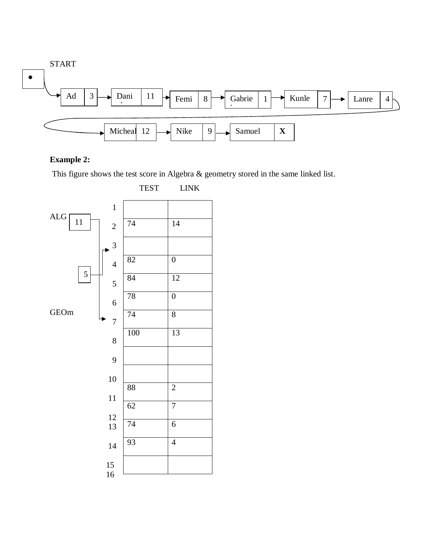

# **Example 2:**

This figure shows the test score in Algebra & geometry stored in the same linked list.



TEST LINK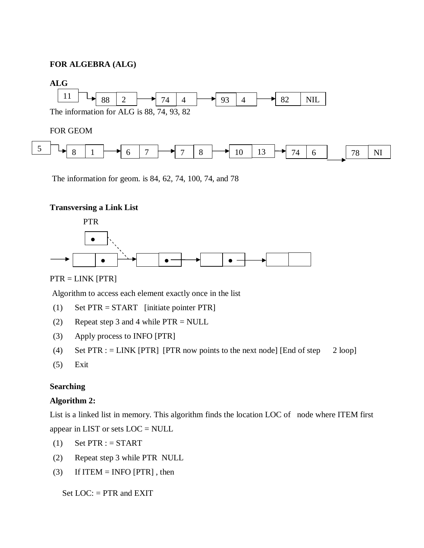# **FOR ALGEBRA (ALG)**



The information for geom. is 84, 62, 74, 100, 74, and 78

## **Transversing a Link List**



## PTR = LINK [PTR]

Algorithm to access each element exactly once in the list

- (1) Set PTR = START [initiate pointer PTR]
- (2) Repeat step 3 and 4 while PTR = NULL
- (3) Apply process to INFO [PTR]
- (4) Set PTR : = LINK [PTR] [PTR now points to the next node] [End of step 2 loop]
- (5) Exit

## **Searching**

## **Algorithm 2:**

List is a linked list in memory. This algorithm finds the location LOC of node where ITEM first appear in LIST or sets LOC = NULL

- (1) Set  $\text{PTR}$  : = START
- (2) Repeat step 3 while PTR NULL
- (3) If ITEM = INFO [PTR], then

Set  $LOC$ : = PTR and EXIT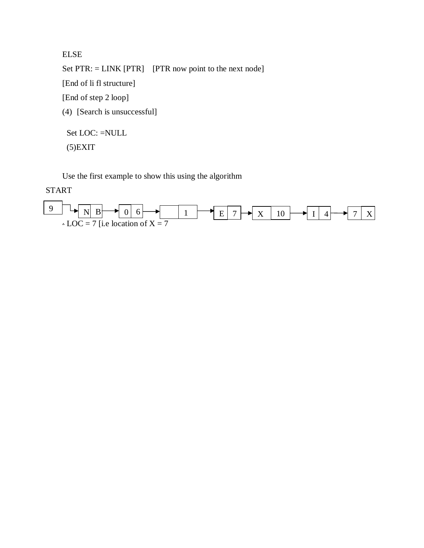ELSE Set PTR: = LINK [PTR] [PTR now point to the next node] [End of li fl structure] [End of step 2 loop] (4) [Search is unsuccessful] Set LOC: =NULL

(5)EXIT

Use the first example to show this using the algorithm

START

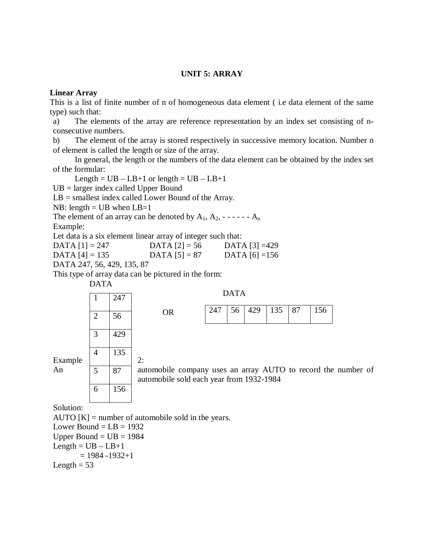## **UNIT 5: ARRAY**

## **Linear Array**

This is a list of finite number of n of homogeneous data element ( i.e data element of the same type) such that:

a) The elements of the array are reference representation by an index set consisting of nconsecutive numbers.

b) The element of the array is stored respectively in successive memory location. Number n of element is called the length or size of the array.

In general, the length or the numbers of the data element can be obtained by the index set of the formular:

Length =  $UB - LB + 1$  or length =  $UB - LB + 1$ 

UB = larger index called Upper Bound

LB = smallest index called Lower Bound of the Array.

NB: length  $=$  UB when LB $=$ 1

The element of an array can be denoted by  $A_1, A_2, \ldots, A_n$ Example:

Let data is a six element linear array of integer such that:

 $DATA [1] = 247$  DATA  $[2] = 56$  DATA  $[3] = 429$ DATA  $[4] = 135$  DATA  $[5] = 87$  DATA  $[6] = 156$ 

DATA 247, 56, 429, 135, 87

This type of array data can be pictured in the form:





Solution:

AUTO  $[K]$  = number of automobile sold in the years. Lower Bound  $=$  LB  $=$  1932 Upper Bound  $=$  UB  $=$  1984  $Length = UB - LB + 1$  $= 1984 - 1932 + 1$ Length  $= 53$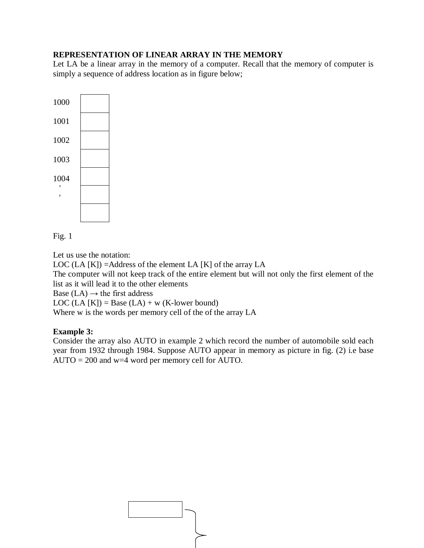## **REPRESENTATION OF LINEAR ARRAY IN THE MEMORY**

Let LA be a linear array in the memory of a computer. Recall that the memory of computer is simply a sequence of address location as in figure below;



Fig. 1

Let us use the notation:

LOC (LA  $[K]$ ) = Address of the element LA  $[K]$  of the array LA The computer will not keep track of the entire element but will not only the first element of the list as it will lead it to the other elements Base (LA)  $\rightarrow$  the first address LOC (LA [K]) = Base (LA) + w (K-lower bound) Where w is the words per memory cell of the of the array LA

# **Example 3:**

Consider the array also AUTO in example 2 which record the number of automobile sold each year from 1932 through 1984. Suppose AUTO appear in memory as picture in fig. (2) i.e base AUTO = 200 and  $w=4$  word per memory cell for AUTO.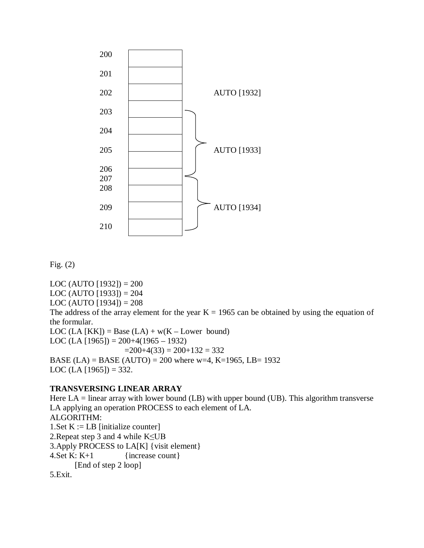

$$
Fig. (2)
$$

LOC (AUTO [1932]) =  $200$ LOC (AUTO [1933]) =  $204$ LOC (AUTO [1934]) =  $208$ The address of the array element for the year  $K = 1965$  can be obtained by using the equation of the formular. LOC (LA [KK]) = Base (LA) +  $w(K - Lower$  bound) LOC (LA [1965]) =  $200+4(1965-1932)$  $=200+4(33) = 200+132 = 332$ BASE (LA) = BASE (AUTO) = 200 where w=4, K=1965, LB= 1932 LOC (LA [1965]) = 332.

## **TRANSVERSING LINEAR ARRAY**

Here  $LA = linear array with lower bound (LB) with upper bound (UB). This algorithm transverse$ LA applying an operation PROCESS to each element of LA. ALGORITHM: 1. Set  $K := LB$  [initialize counter] 2.Repeat step 3 and 4 while K≤UB 3.Apply PROCESS to LA[K] {visit element} 4. Set K:  $K+1$  {increase count} [End of step 2 loop] 5.Exit.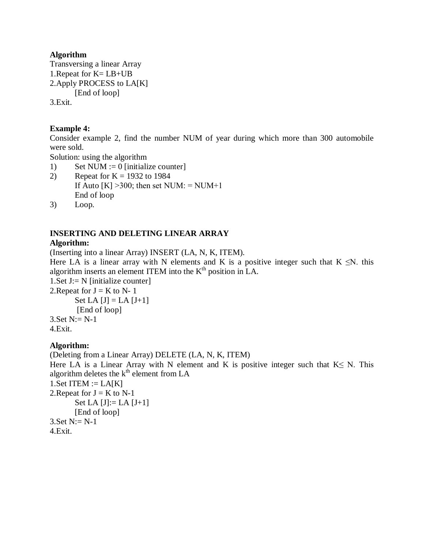## **Algorithm**

Transversing a linear Array 1.Repeat for K= LB+UB 2.Apply PROCESS to LA[K] [End of loop]

3.Exit.

# **Example 4:**

Consider example 2, find the number NUM of year during which more than 300 automobile were sold.

Solution: using the algorithm

- 1) Set NUM  $:= 0$  [initialize counter]
- 2) Repeat for  $K = 1932$  to 1984 If Auto  $[K] > 300$ ; then set NUM: = NUM+1 End of loop
- 3) Loop.

# **INSERTING AND DELETING LINEAR ARRAY**

# **Algorithm:**

(Inserting into a linear Array) INSERT (LA, N, K, ITEM).

Here LA is a linear array with N elements and K is a positive integer such that  $K \leq N$ . this algorithm inserts an element ITEM into the  $K<sup>th</sup>$  position in LA.

1. Set  $J = N$  [initialize counter] 2. Repeat for  $J = K$  to  $N-1$ 

> Set LA  $[J] = LA [J+1]$ [End of loop]

 $3.$  Set  $N := N-1$ 

4.Exit.

# **Algorithm:**

(Deleting from a Linear Array) DELETE (LA, N, K, ITEM) Here LA is a Linear Array with N element and K is positive integer such that  $K \le N$ . This algorithm deletes the  $k<sup>th</sup>$  element from LA 1. Set ITEM :=  $LA[K]$ 2. Repeat for  $J = K$  to N-1 Set LA  $[J] := LA [J+1]$ [End of loop] 3. Set  $N := N-1$ 4.Exit.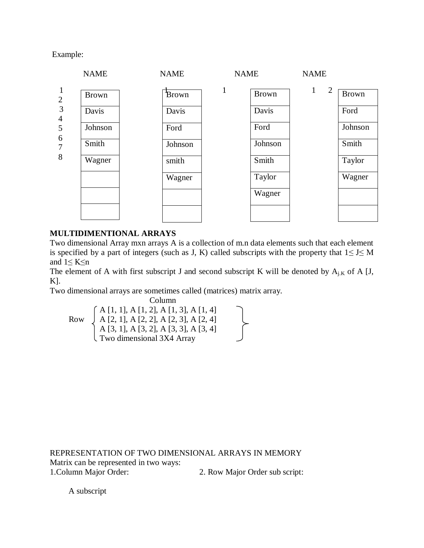Example:



## **MULTIDIMENTIONAL ARRAYS**

Two dimensional Array mxn arrays A is a collection of m.n data elements such that each element is specified by a part of integers (such as J, K) called subscripts with the property that  $1 \le J \le M$ and  $1 \leq K \leq n$ 

The element of A with first subscript J and second subscript K will be denoted by  $A_{i,K}$  of A [J, K].

Two dimensional arrays are sometimes called (matrices) matrix array.

Column A [1, 1], A [1, 2], A [1, 3], A [1, 4] Row  $\bigcup A [2, 1], A [2, 2], A [2, 3], A [2, 4]$ A [3, 1], A [3, 2], A [3, 3], A [3, 4] Two dimensional 3X4 Array

REPRESENTATION OF TWO DIMENSIONAL ARRAYS IN MEMORY Matrix can be represented in two ways: 1.Column Major Order: 2. Row Major Order sub script:

A subscript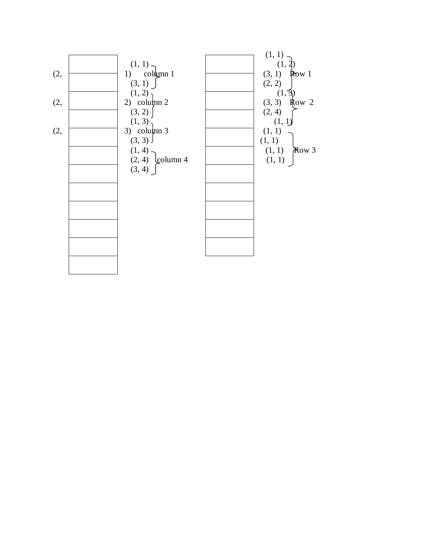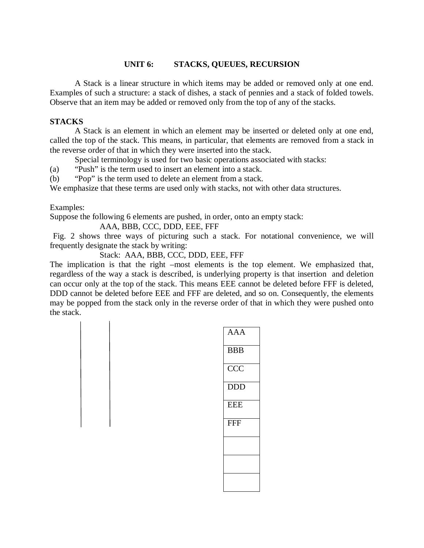## **UNIT 6: STACKS, QUEUES, RECURSION**

A Stack is a linear structure in which items may be added or removed only at one end. Examples of such a structure: a stack of dishes, a stack of pennies and a stack of folded towels. Observe that an item may be added or removed only from the top of any of the stacks.

## **STACKS**

A Stack is an element in which an element may be inserted or deleted only at one end, called the top of the stack. This means, in particular, that elements are removed from a stack in the reverse order of that in which they were inserted into the stack.

Special terminology is used for two basic operations associated with stacks:

(a) "Push" is the term used to insert an element into a stack.

(b) "Pop" is the term used to delete an element from a stack.

We emphasize that these terms are used only with stacks, not with other data structures.

Examples:

Suppose the following 6 elements are pushed, in order, onto an empty stack:

AAA, BBB, CCC, DDD, EEE, FFF

Fig. 2 shows three ways of picturing such a stack. For notational convenience, we will frequently designate the stack by writing:

Stack: AAA, BBB, CCC, DDD, EEE, FFF

The implication is that the right –most elements is the top element. We emphasized that, regardless of the way a stack is described, is underlying property is that insertion and deletion can occur only at the top of the stack. This means EEE cannot be deleted before FFF is deleted, DDD cannot be deleted before EEE and FFF are deleted, and so on. Consequently, the elements may be popped from the stack only in the reverse order of that in which they were pushed onto the stack.

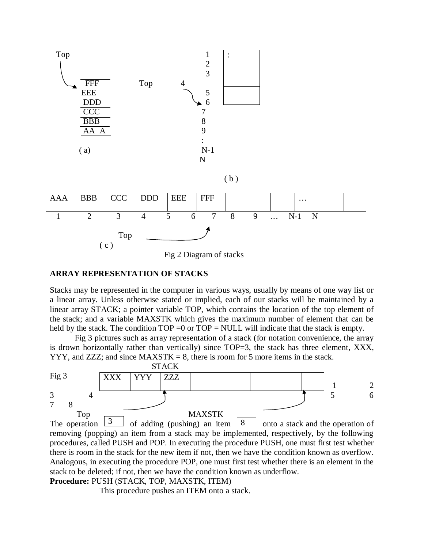

## **ARRAY REPRESENTATION OF STACKS**

Stacks may be represented in the computer in various ways, usually by means of one way list or a linear array. Unless otherwise stated or implied, each of our stacks will be maintained by a linear array STACK; a pointer variable TOP, which contains the location of the top element of the stack; and a variable MAXSTK which gives the maximum number of element that can be held by the stack. The condition  $TOP = 0$  or  $TOP = NULL$  will indicate that the stack is empty.

Fig 3 pictures such as array representation of a stack (for notation convenience, the array is drown horizontally rather than vertically) since TOP=3, the stack has three element, XXX,  $YYY$ , and ZZZ; and since MAXSTK = 8, there is room for 5 more items in the stack.



## stack to be deleted; if not, then we have the condition known as underflow.

## **Procedure:** PUSH (STACK, TOP, MAXSTK, ITEM)

This procedure pushes an ITEM onto a stack.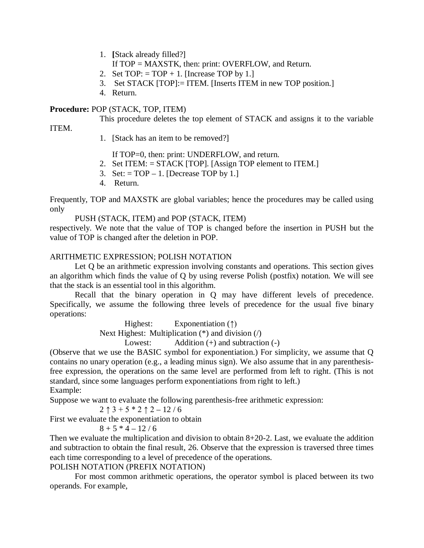- 1. **[**Stack already filled?]
	- If TOP = MAXSTK, then: print: OVERFLOW, and Return.
- 2. Set  $TOP: = TOP + 1$ . [Increase TOP by 1.]
- 3. Set STACK [TOP]:= ITEM. [Inserts ITEM in new TOP position.]
- 4. Return.

## **Procedure:** POP (STACK, TOP, ITEM)

This procedure deletes the top element of STACK and assigns it to the variable

ITEM.

1. [Stack has an item to be removed?]

If TOP=0, then: print: UNDERFLOW, and return.

- 2. Set ITEM: = STACK [TOP]. [Assign TOP element to ITEM.]
- 3. Set:  $= TOP 1$ . [Decrease TOP by 1.]
- 4. Return.

Frequently, TOP and MAXSTK are global variables; hence the procedures may be called using only

## PUSH (STACK, ITEM) and POP (STACK, ITEM)

respectively. We note that the value of TOP is changed before the insertion in PUSH but the value of TOP is changed after the deletion in POP.

# ARITHMETIC EXPRESSION; POLISH NOTATION

Let Q be an arithmetic expression involving constants and operations. This section gives an algorithm which finds the value of Q by using reverse Polish (postfix) notation. We will see that the stack is an essential tool in this algorithm.

Recall that the binary operation in Q may have different levels of precedence. Specifically, we assume the following three levels of precedence for the usual five binary operations:

> Highest: Exponentiation (↑) Next Highest: Multiplication (\*) and division (/)

Lowest: Addition (+) and subtraction (-)

(Observe that we use the BASIC symbol for exponentiation.) For simplicity, we assume that Q contains no unary operation (e.g., a leading minus sign). We also assume that in any parenthesisfree expression, the operations on the same level are performed from left to right. (This is not standard, since some languages perform exponentiations from right to left.) Example:

Suppose we want to evaluate the following parenthesis-free arithmetic expression:

$$
2 \uparrow 3 + 5 * 2 \uparrow 2 - 12 / 6
$$

First we evaluate the exponentiation to obtain

$$
8 + 5 * 4 - 12 / 6
$$

Then we evaluate the multiplication and division to obtain 8+20-2. Last, we evaluate the addition and subtraction to obtain the final result, 26. Observe that the expression is traversed three times each time corresponding to a level of precedence of the operations.

# POLISH NOTATION (PREFIX NOTATION)

For most common arithmetic operations, the operator symbol is placed between its two operands. For example,